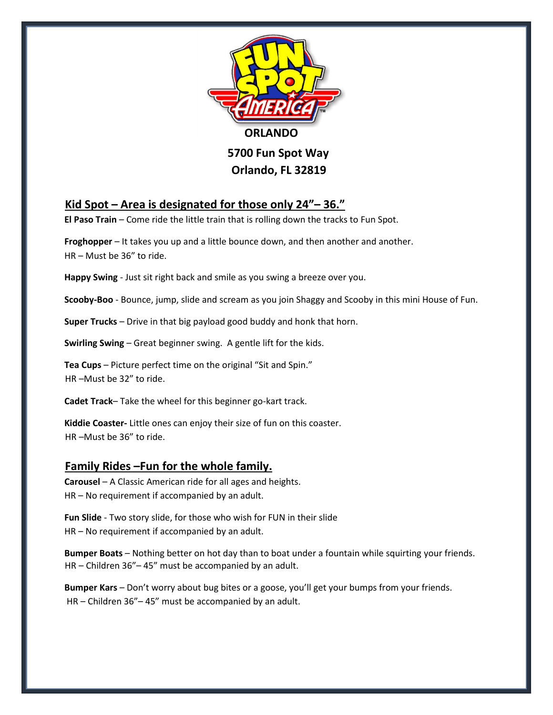

# **Kid Spot – Area is designated for those only 24"– 36."**

**El Paso Train** – Come ride the little train that is rolling down the tracks to Fun Spot.

**Froghopper** – It takes you up and a little bounce down, and then another and another. HR – Must be 36" to ride.

**Happy Swing** - Just sit right back and smile as you swing a breeze over you.

**Scooby-Boo** - Bounce, jump, slide and scream as you join Shaggy and Scooby in this mini House of Fun.

**Super Trucks** – Drive in that big payload good buddy and honk that horn.

**Swirling Swing** – Great beginner swing. A gentle lift for the kids.

**Tea Cups** – Picture perfect time on the original "Sit and Spin." HR –Must be 32" to ride.

**Cadet Track**– Take the wheel for this beginner go-kart track.

**Kiddie Coaster-** Little ones can enjoy their size of fun on this coaster. HR –Must be 36" to ride.

### **Family Rides –Fun for the whole family.**

**Carousel** – A Classic American ride for all ages and heights. HR – No requirement if accompanied by an adult.

**Fun Slide** - Two story slide, for those who wish for FUN in their slide HR – No requirement if accompanied by an adult.

**Bumper Boats** – Nothing better on hot day than to boat under a fountain while squirting your friends. HR – Children 36"– 45" must be accompanied by an adult.

**Bumper Kars** – Don't worry about bug bites or a goose, you'll get your bumps from your friends. HR – Children 36"– 45" must be accompanied by an adult.